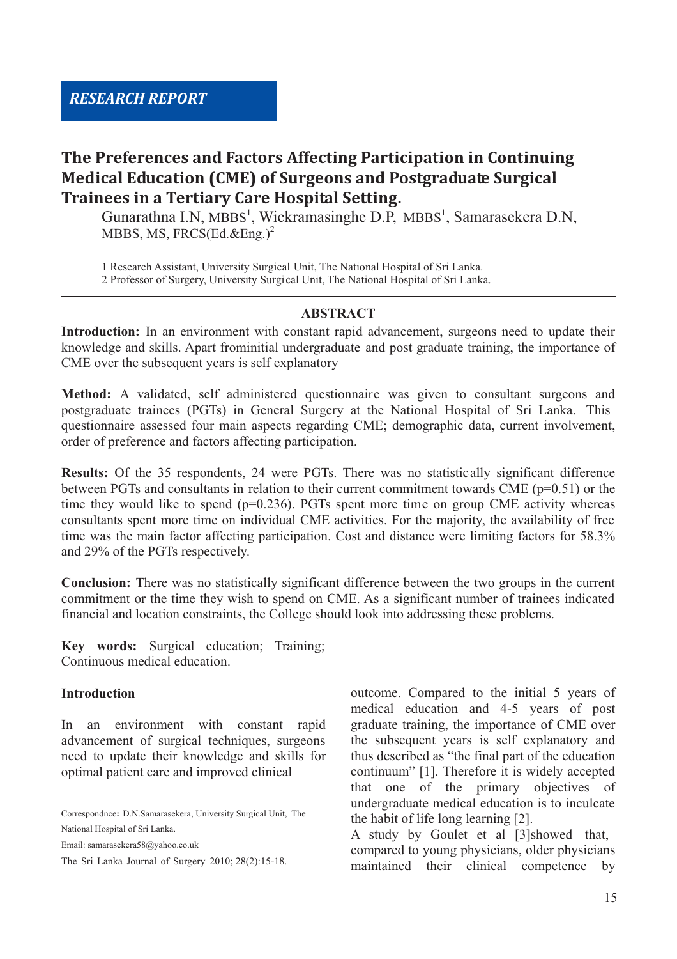# **The Preferences and Factors Affecting Participation in Continuing Medical Education (CME) of Surgeons and Postgraduate Surgical Trainees in a Tertiary Care Hospital Setting.**

Gunarathna I.N, MBBS<sup>1</sup>, Wickramasinghe D.P, MBBS<sup>1</sup>, Samarasekera D.N, MBBS, MS, FRCS(Ed.&Eng.)<sup>2</sup>

1 Research Assistant, University Surgical Unit, The National Hospital of Sri Lanka.

2 Professor of Surgery, University Surgical Unit, The National Hospital of Sri Lanka.

#### **ABSTRACT**

**Introduction:** In an environment with constant rapid advancement, surgeons need to update their knowledge and skills. Apart frominitial undergraduate and post graduate training, the importance of CME over the subsequent years is self explanatory

**Method:** A validated, self administered questionnaire was given to consultant surgeons and postgraduate trainees (PGTs) in General Surgery at the National Hospital of Sri Lanka. This questionnaire assessed four main aspects regarding CME; demographic data, current involvement, order of preference and factors affecting participation.

**Results:** Of the 35 respondents, 24 were PGTs. There was no statistically significant difference between PGTs and consultants in relation to their current commitment towards CME (p=0.51) or the time they would like to spend ( $p=0.236$ ). PGTs spent more time on group CME activity whereas consultants spent more time on individual CME activities. For the majority, the availability of free time was the main factor affecting participation. Cost and distance were limiting factors for 58.3% and 29% of the PGTs respectively.

**Conclusion:** There was no statistically significant difference between the two groups in the current commitment or the time they wish to spend on CME. As a significant number of trainees indicated financial and location constraints, the College should look into addressing these problems.

**Key words:** Surgical education; Training; Continuous medical education.

#### **Introduction**

In an environment with constant rapid advancement of surgical techniques, surgeons need to update their knowledge and skills for optimal patient care and improved clinical

Email: samarasekera58@yahoo.co.uk

outcome. Compared to the initial 5 years of medical education and 4-5 years of post graduate training, the importance of CME over the subsequent years is self explanatory and thus described as "the final part of the education continuum" [1]. Therefore it is widely accepted that one of the primary objectives of undergraduate medical education is to inculcate the habit of life long learning [2].

A study by Goulet et al [3]showed that, compared to young physicians, older physicians maintained their clinical competence by

Correspondnce**:** D.N.Samarasekera, University Surgical Unit, The National Hospital of Sri Lanka.

The Sri Lanka Journal of Surgery 2010; 28(2):15-18.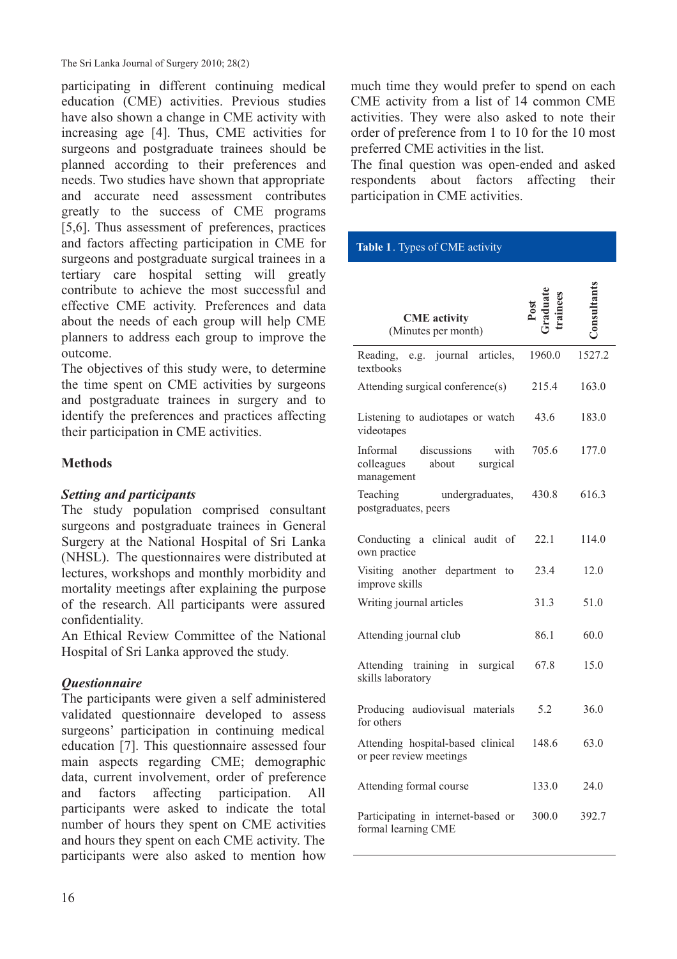The Sri Lanka Journal of Surgery 2010; 28(2)

participating in different continuing medical education (CME) activities. Previous studies have also shown a change in CME activity with increasing age [4]. Thus, CME activities for surgeons and postgraduate trainees should be planned according to their preferences and needs. Two studies have shown that appropriate and accurate need assessment contributes greatly to the success of CME programs [5,6]. Thus assessment of preferences, practices and factors affecting participation in CME for surgeons and postgraduate surgical trainees in a tertiary care hospital setting will greatly contribute to achieve the most successful and effective CME activity. Preferences and data about the needs of each group will help CME planners to address each group to improve the outcome.

The objectives of this study were, to determine the time spent on CME activities by surgeons and postgraduate trainees in surgery and to identify the preferences and practices affecting their participation in CME activities.

## **Methods**

### *Setting and participants*

The study population comprised consultant surgeons and postgraduate trainees in General Surgery at the National Hospital of Sri Lanka (NHSL). The questionnaires were distributed at lectures, workshops and monthly morbidity and mortality meetings after explaining the purpose of the research. All participants were assured confidentiality.

An Ethical Review Committee of the National Hospital of Sri Lanka approved the study.

## *Questionnaire*

The participants were given a self administered validated questionnaire developed to assess surgeons' participation in continuing medical education [7]. This questionnaire assessed four main aspects regarding CME; demographic data, current involvement, order of preference and factors affecting participation. All participants were asked to indicate the total number of hours they spent on CME activities and hours they spent on each CME activity. The participants were also asked to mention how

much time they would prefer to spend on each CME activity from a list of 14 common CME activities. They were also asked to note their order of preference from 1 to 10 for the 10 most preferred CME activities in the list.

The final question was open-ended and asked respondents about factors affecting their participation in CME activities.

#### **Table 1**. Types of CME activity

| <b>CME</b> activity<br>(Minutes per month)                                       |        |        |
|----------------------------------------------------------------------------------|--------|--------|
| Reading,<br>journal articles,<br>e.g.<br>textbooks                               | 1960.0 | 1527.2 |
| Attending surgical conference(s)                                                 | 215.4  | 163.0  |
| Listening to audiotapes or watch<br>videotapes                                   | 43.6   | 183.0  |
| Informal<br>discussions<br>with<br>colleagues<br>about<br>surgical<br>management | 705.6  | 177.0  |
| Teaching<br>undergraduates,<br>postgraduates, peers                              | 430.8  | 616.3  |
| Conducting a clinical audit of<br>own practice                                   | 22.1   | 114.0  |
| Visiting another department<br>to<br>improve skills                              | 23.4   | 12.0   |
| Writing journal articles                                                         | 31.3   | 51.0   |
| Attending journal club                                                           | 86.1   | 60.0   |
| Attending training in surgical<br>skills laboratory                              | 67.8   | 15.0   |
| Producing audiovisual materials<br>for others                                    | 5.2    | 36.0   |
| Attending hospital-based clinical<br>or peer review meetings                     | 148.6  | 63.0   |
| Attending formal course                                                          | 133.0  | 24.0   |
| Participating in internet-based or<br>formal learning CME                        | 300.0  | 392.7  |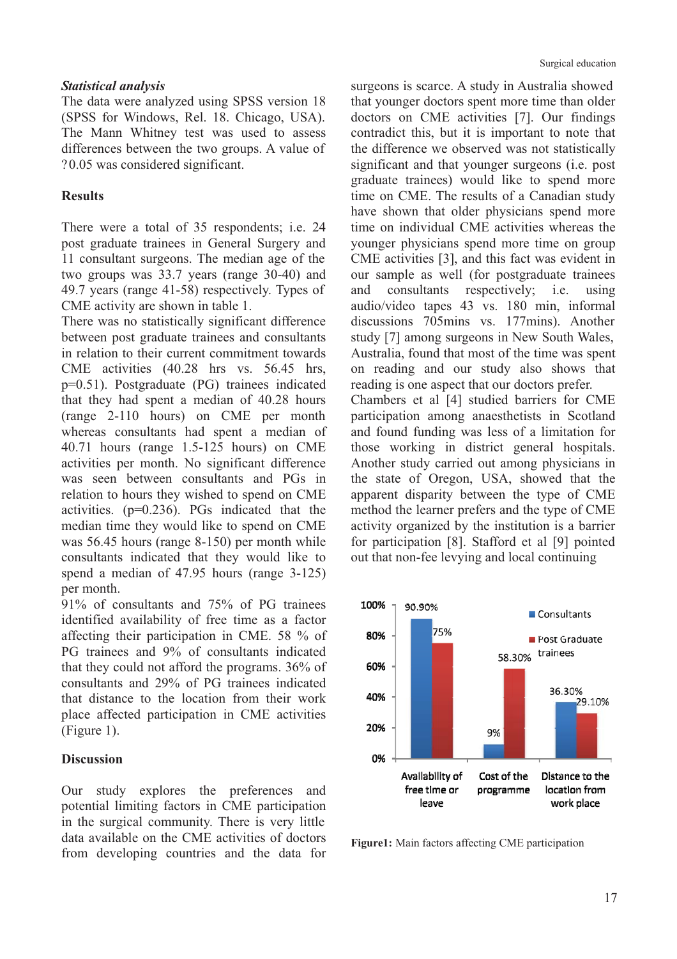#### *Statistical analysis*

The data were analyzed using SPSS version 18 (SPSS for Windows, Rel. 18. Chicago, USA). The Mann Whitney test was used to assess differences between the two groups. A value of ?0.05 was considered significant.

#### **Results**

There were a total of 35 respondents; i.e. 24 post graduate trainees in General Surgery and 11 consultant surgeons. The median age of the two groups was 33.7 years (range 30-40) and 49.7 years (range 41-58) respectively. Types of CME activity are shown in table 1.

There was no statistically significant difference between post graduate trainees and consultants in relation to their current commitment towards CME activities (40.28 hrs vs. 56.45 hrs, p=0.51). Postgraduate (PG) trainees indicated that they had spent a median of 40.28 hours (range 2-110 hours) on CME per month whereas consultants had spent a median of 40.71 hours (range 1.5-125 hours) on CME activities per month. No significant difference was seen between consultants and PGs in relation to hours they wished to spend on CME activities. (p=0.236). PGs indicated that the median time they would like to spend on CME was 56.45 hours (range 8-150) per month while consultants indicated that they would like to spend a median of 47.95 hours (range 3-125) per month.

91% of consultants and 75% of PG trainees identified availability of free time as a factor affecting their participation in CME. 58 % of PG trainees and 9% of consultants indicated that they could not afford the programs. 36% of consultants and 29% of PG trainees indicated that distance to the location from their work place affected participation in CME activities (Figure 1).

### **Discussion**

Our study explores the preferences and potential limiting factors in CME participation in the surgical community. There is very little data available on the CME activities of doctors from developing countries and the data for

surgeons is scarce. A study in Australia showed that younger doctors spent more time than older doctors on CME activities [7]. Our findings contradict this, but it is important to note that the difference we observed was not statistically significant and that younger surgeons (i.e. post graduate trainees) would like to spend more time on CME. The results of a Canadian study have shown that older physicians spend more time on individual CME activities whereas the younger physicians spend more time on group CME activities [3], and this fact was evident in our sample as well (for postgraduate trainees and consultants respectively; i.e. using audio/video tapes 43 vs. 180 min, informal discussions 705mins vs. 177mins). Another study [7] among surgeons in New South Wales, Australia, found that most of the time was spent on reading and our study also shows that reading is one aspect that our doctors prefer. Chambers et al [4] studied barriers for CME participation among anaesthetists in Scotland and found funding was less of a limitation for those working in district general hospitals. Another study carried out among physicians in the state of Oregon, USA, showed that the apparent disparity between the type of CME method the learner prefers and the type of CME activity organized by the institution is a barrier



for participation [8]. Stafford et al [9] pointed out that non-fee levying and local continuing

**Figure1:** Main factors affecting CME participation